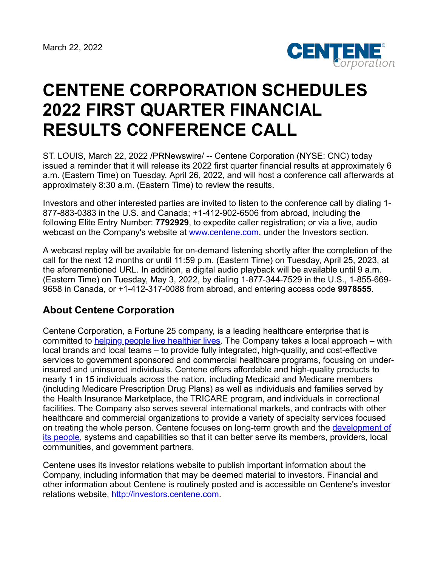

## **CENTENE CORPORATION SCHEDULES 2022 FIRST QUARTER FINANCIAL RESULTS CONFERENCE CALL**

ST. LOUIS, March 22, 2022 /PRNewswire/ -- Centene Corporation (NYSE: CNC) today issued a reminder that it will release its 2022 first quarter financial results at approximately 6 a.m. (Eastern Time) on Tuesday, April 26, 2022, and will host a conference call afterwards at approximately 8:30 a.m. (Eastern Time) to review the results.

Investors and other interested parties are invited to listen to the conference call by dialing 1- 877-883-0383 in the U.S. and Canada; +1-412-902-6506 from abroad, including the following Elite Entry Number: **7792929**, to expedite caller registration; or via a live, audio webcast on the Company's website at [www.centene.com,](http://www.centene.com/) under the Investors section.

A webcast replay will be available for on-demand listening shortly after the completion of the call for the next 12 months or until 11:59 p.m. (Eastern Time) on Tuesday, April 25, 2023, at the aforementioned URL. In addition, a digital audio playback will be available until 9 a.m. (Eastern Time) on Tuesday, May 3, 2022, by dialing 1-877-344-7529 in the U.S., 1-855-669- 9658 in Canada, or +1-412-317-0088 from abroad, and entering access code **9978555**.

## **About Centene Corporation**

Centene Corporation, a Fortune 25 company, is a leading healthcare enterprise that is committed to [helping people live healthier lives](https://urldefense.com/v3/__https:/www.youtube.com/user/CenteneCorp__;!!Js732Vmb!4K62SFNNVkkJTmGjXi5yYxFS_P41WUBjaIyvMTuSe5oK5E_MYPLl1YxuNP1yYeU%24). The Company takes a local approach – with local brands and local teams – to provide fully integrated, high-quality, and cost-effective services to government sponsored and commercial healthcare programs, focusing on underinsured and uninsured individuals. Centene offers affordable and high-quality products to nearly 1 in 15 individuals across the nation, including Medicaid and Medicare members (including Medicare Prescription Drug Plans) as well as individuals and families served by the Health Insurance Marketplace, the TRICARE program, and individuals in correctional facilities. The Company also serves several international markets, and contracts with other healthcare and commercial organizations to provide a variety of specialty services focused [on treating the whole person. Centene focuses on long-term growth and the development of](https://jobs.centene.com/us/en) its people, systems and capabilities so that it can better serve its members, providers, local communities, and government partners.

Centene uses its investor relations website to publish important information about the Company, including information that may be deemed material to investors. Financial and other information about Centene is routinely posted and is accessible on Centene's investor relations website, [http://investors.centene.com](http://investors.centene.com/).